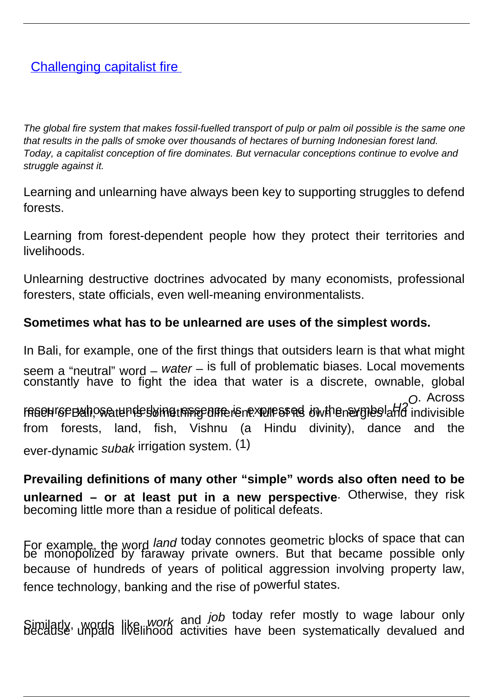# **[Challenging capitalist fire](/bulletin-articles/challenging-capitalist-fire)**

The global fire system that makes fossil-fuelled transport of pulp or palm oil possible is the same one that results in the palls of smoke over thousands of hectares of burning Indonesian forest land. Today, a capitalist conception of fire dominates. But vernacular conceptions continue to evolve and struggle against it.

Learning and unlearning have always been key to supporting struggles to defend forests.

Learning from forest-dependent people how they protect their territories and livelihoods.

Unlearning destructive doctrines advocated by many economists, professional foresters, state officials, even well-meaning environmentalists.

## **Sometimes what has to be unlearned are uses of the simplest words.**

In Bali, for example, one of the first things that outsiders learn is that what might seem a "neutral" word – water – is full of problematic biases. Local movements constantly have to fight the idea that water is a discrete, ownable, global resen resence Balt, wat the sking the section of the series in the symbol and indivisible O. Across from forests, land, fish, Vishnu (a Hindu divinity), dance and the ever-dynamic subak irrigation system. (1)

**Prevailing definitions of many other "simple" words also often need to be unlearned – or at least put in a new perspective**. Otherwise, they risk becoming little more than a residue of political defeats.

For example, the word *land* today connotes geometric blocks of space that can be monopolized by faraway private owners. But that became possible only because of hundreds of years of political aggression involving property law, fence technology, banking and the rise of powerful states.

Similarly, words like *work* and *job* today refer mostly to wage labour only<br>Because unpaid livelihood activities have been systematically devalued and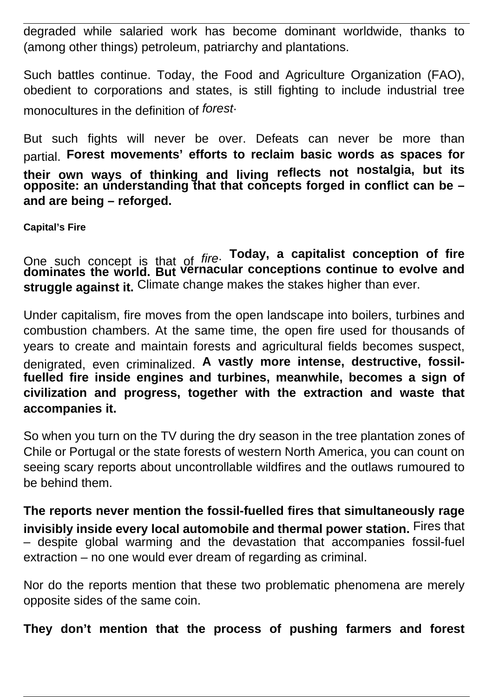degraded while salaried work has become dominant worldwide, thanks to (among other things) petroleum, patriarchy and plantations.

Such battles continue. Today, the Food and Agriculture Organization (FAO), obedient to corporations and states, is still fighting to include industrial tree monocultures in the definition of forest.

But such fights will never be over. Defeats can never be more than partial. **Forest movements' efforts to reclaim basic words as spaces for their own ways of thinking and living reflects not nostalgia, but its opposite: an understanding that that concepts forged in conflict can be – and are being – reforged.**

**Capital's Fire**

One such concept is that of fire. **Today, a capitalist conception of fire dominates the world. But vernacular conceptions continue to evolve and struggle against it.** Climate change makes the stakes higher than ever.

Under capitalism, fire moves from the open landscape into boilers, turbines and combustion chambers. At the same time, the open fire used for thousands of years to create and maintain forests and agricultural fields becomes suspect, denigrated, even criminalized. **A vastly more intense, destructive, fossilfuelled fire inside engines and turbines, meanwhile, becomes a sign of civilization and progress, together with the extraction and waste that accompanies it.**

So when you turn on the TV during the dry season in the tree plantation zones of Chile or Portugal or the state forests of western North America, you can count on seeing scary reports about uncontrollable wildfires and the outlaws rumoured to be behind them.

**The reports never mention the fossil-fuelled fires that simultaneously rage invisibly inside every local automobile and thermal power station.** Fires that – despite global warming and the devastation that accompanies fossil-fuel extraction – no one would ever dream of regarding as criminal.

Nor do the reports mention that these two problematic phenomena are merely opposite sides of the same coin.

**They don't mention that the process of pushing farmers and forest**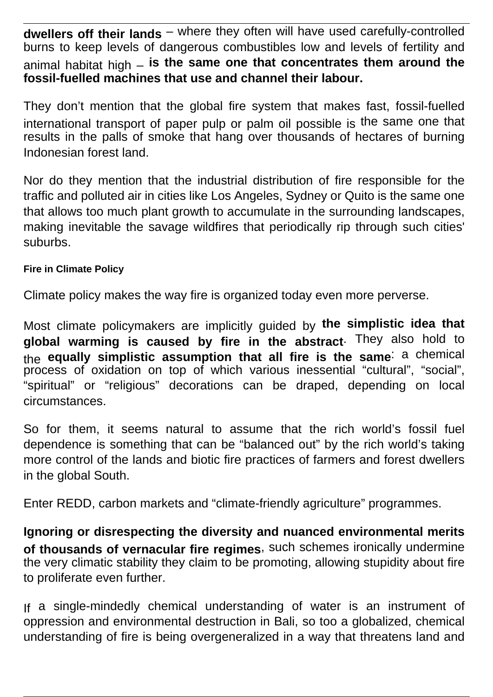**dwellers off their lands** – where they often will have used carefully-controlled burns to keep levels of dangerous combustibles low and levels of fertility and animal habitat high – **is the same one that concentrates them around the fossil-fuelled machines that use and channel their labour.**

They don't mention that the global fire system that makes fast, fossil-fuelled international transport of paper pulp or palm oil possible is the same one that results in the palls of smoke that hang over thousands of hectares of burning Indonesian forest land.

Nor do they mention that the industrial distribution of fire responsible for the traffic and polluted air in cities like Los Angeles, Sydney or Quito is the same one that allows too much plant growth to accumulate in the surrounding landscapes, making inevitable the savage wildfires that periodically rip through such cities' suburbs.

### **Fire in Climate Policy**

Climate policy makes the way fire is organized today even more perverse.

Most climate policymakers are implicitly guided by **the simplistic idea that global warming is caused by fire in the abstract**. They also hold to the **equally simplistic assumption that all fire is the same**: a chemical process of oxidation on top of which various inessential "cultural", "social", "spiritual" or "religious" decorations can be draped, depending on local circumstances.

So for them, it seems natural to assume that the rich world's fossil fuel dependence is something that can be "balanced out" by the rich world's taking more control of the lands and biotic fire practices of farmers and forest dwellers in the global South.

Enter REDD, carbon markets and "climate-friendly agriculture" programmes.

**Ignoring or disrespecting the diversity and nuanced environmental merits of thousands of vernacular fire regimes**, such schemes ironically undermine the very climatic stability they claim to be promoting, allowing stupidity about fire to proliferate even further.

If a single-mindedly chemical understanding of water is an instrument of oppression and environmental destruction in Bali, so too a globalized, chemical understanding of fire is being overgeneralized in a way that threatens land and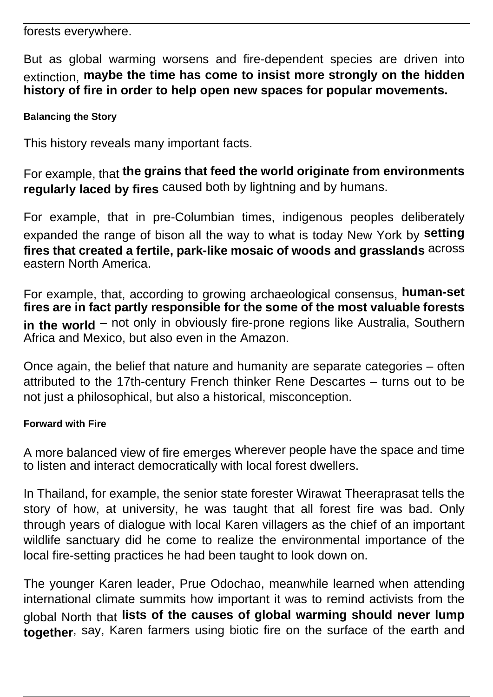forests everywhere.

But as global warming worsens and fire-dependent species are driven into extinction, **maybe the time has come to insist more strongly on the hidden history of fire in order to help open new spaces for popular movements.**

### **Balancing the Story**

This history reveals many important facts.

For example, that **the grains that feed the world originate from environments regularly laced by fires** caused both by lightning and by humans.

For example, that in pre-Columbian times, indigenous peoples deliberately expanded the range of bison all the way to what is today New York by **setting fires that created a fertile, park-like mosaic of woods and grasslands** across eastern North America.

For example, that, according to growing archaeological consensus, **human-set fires are in fact partly responsible for the some of the most valuable forests** in the world – not only in obviously fire-prone regions like Australia, Southern Africa and Mexico, but also even in the Amazon.

Once again, the belief that nature and humanity are separate categories – often attributed to the 17th-century French thinker Rene Descartes – turns out to be not just a philosophical, but also a historical, misconception.

#### **Forward with Fire**

A more balanced view of fire emerges wherever people have the space and time to listen and interact democratically with local forest dwellers.

In Thailand, for example, the senior state forester Wirawat Theeraprasat tells the story of how, at university, he was taught that all forest fire was bad. Only through years of dialogue with local Karen villagers as the chief of an important wildlife sanctuary did he come to realize the environmental importance of the local fire-setting practices he had been taught to look down on.

The younger Karen leader, Prue Odochao, meanwhile learned when attending international climate summits how important it was to remind activists from the global North that **lists of the causes of global warming should never lump together**, say, Karen farmers using biotic fire on the surface of the earth and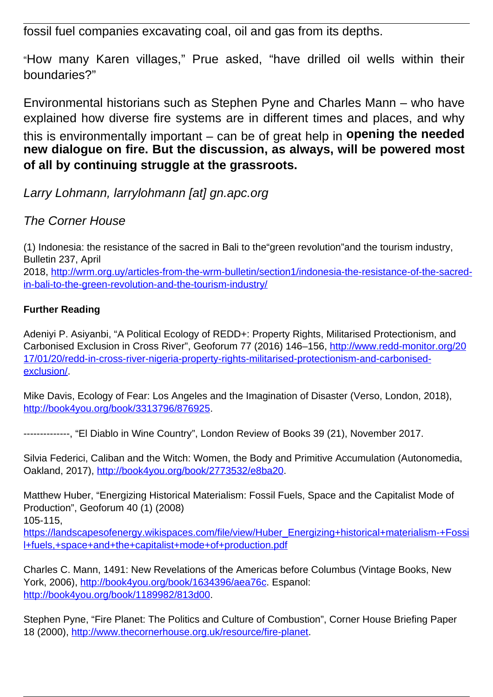fossil fuel companies excavating coal, oil and gas from its depths.

"How many Karen villages," Prue asked, "have drilled oil wells within their boundaries?"

Environmental historians such as Stephen Pyne and Charles Mann – who have explained how diverse fire systems are in different times and places, and why

this is environmentally important – can be of great help in **opening the needed new dialogue on fire. But the discussion, as always, will be powered most of all by continuing struggle at the grassroots.**

Larry Lohmann, larrylohmann [at] gn.apc.org

## The Corner House

(1) Indonesia: the resistance of the sacred in Bali to the"green revolution"and the tourism industry, Bulletin 237, April 2018, [http://wrm.org.uy/articles-from-the-wrm-bulletin/section1/indonesia-the-resistance-of-the-sacred](http://wrm.org.uy/articles-from-the-wrm-bulletin/section1/indonesia-the-resistance-of-the-sacred-in-bali-to-the-green-revolution-and-the-tourism-industry/)[in-bali-to-the-green-revolution-and-the-tourism-industry/](http://wrm.org.uy/articles-from-the-wrm-bulletin/section1/indonesia-the-resistance-of-the-sacred-in-bali-to-the-green-revolution-and-the-tourism-industry/)

### **Further Reading**

Adeniyi P. Asiyanbi, "A Political Ecology of REDD+: Property Rights, Militarised Protectionism, and Carbonised Exclusion in Cross River", Geoforum 77 (2016) 146–156, [http://www.redd-monitor.org/20](http://www.redd-monitor.org/2017/01/20/redd-in-cross-river-nigeria-property-rights-militarised-protectionism-and-carbonised-exclusion/) [17/01/20/redd-in-cross-river-nigeria-property-rights-militarised-protectionism-and-carbonised](http://www.redd-monitor.org/2017/01/20/redd-in-cross-river-nigeria-property-rights-militarised-protectionism-and-carbonised-exclusion/)[exclusion/.](http://www.redd-monitor.org/2017/01/20/redd-in-cross-river-nigeria-property-rights-militarised-protectionism-and-carbonised-exclusion/)

Mike Davis, Ecology of Fear: Los Angeles and the Imagination of Disaster (Verso, London, 2018), [http://book4you.org/book/3313796/876925.](http://book4you.org/book/3313796/876925)

--------------, "El Diablo in Wine Country", London Review of Books 39 (21), November 2017.

Silvia Federici, Caliban and the Witch: Women, the Body and Primitive Accumulation (Autonomedia, Oakland, 2017), [http://book4you.org/book/2773532/e8ba20.](http://book4you.org/book/2773532/e8ba20)

Matthew Huber, "Energizing Historical Materialism: Fossil Fuels, Space and the Capitalist Mode of Production", Geoforum 40 (1) (2008)

105-115,

[https://landscapesofenergy.wikispaces.com/file/view/Huber\\_Energizing+historical+materialism-+Fossi](https://landscapesofenergy.wikispaces.com/file/view/Huber_Energizing+historical+materialism-+Fossil+fuels,+space+and+the+capitalist+mode+of+production.pdf) [l+fuels,+space+and+the+capitalist+mode+of+production.pdf](https://landscapesofenergy.wikispaces.com/file/view/Huber_Energizing+historical+materialism-+Fossil+fuels,+space+and+the+capitalist+mode+of+production.pdf)

Charles C. Mann, 1491: New Revelations of the Americas before Columbus (Vintage Books, New York, 2006), [http://book4you.org/book/1634396/aea76c.](http://book4you.org/book/1634396/aea76c) Espanol: [http://book4you.org/book/1189982/813d00.](http://book4you.org/book/1189982/813d00)

Stephen Pyne, "Fire Planet: The Politics and Culture of Combustion", Corner House Briefing Paper 18 (2000),<http://www.thecornerhouse.org.uk/resource/fire-planet>.